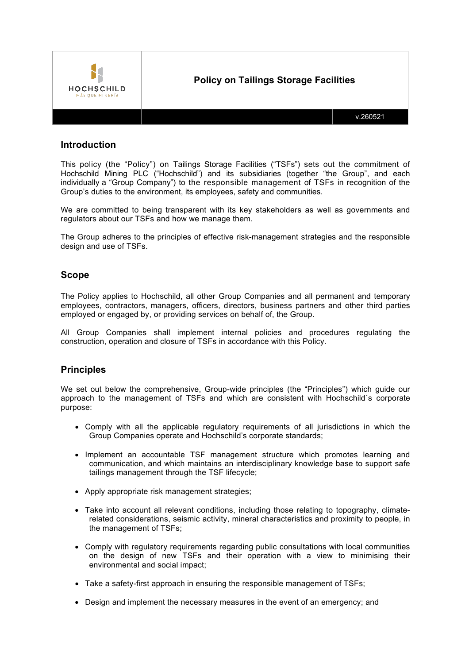

# **Introduction**

This policy (the "Policy") on Tailings Storage Facilities ("TSFs") sets out the commitment of Hochschild Mining PLC ("Hochschild") and its subsidiaries (together "the Group", and each individually a "Group Company") to the responsible management of TSFs in recognition of the Group's duties to the environment, its employees, safety and communities.

We are committed to being transparent with its key stakeholders as well as governments and regulators about our TSFs and how we manage them.

The Group adheres to the principles of effective risk-management strategies and the responsible design and use of TSFs.

### **Scope**

The Policy applies to Hochschild, all other Group Companies and all permanent and temporary employees, contractors, managers, officers, directors, business partners and other third parties employed or engaged by, or providing services on behalf of, the Group.

All Group Companies shall implement internal policies and procedures regulating the construction, operation and closure of TSFs in accordance with this Policy.

### **Principles**

We set out below the comprehensive, Group-wide principles (the "Principles") which guide our approach to the management of TSFs and which are consistent with Hochschild´s corporate purpose:

- Comply with all the applicable regulatory requirements of all jurisdictions in which the Group Companies operate and Hochschild's corporate standards;
- Implement an accountable TSF management structure which promotes learning and communication, and which maintains an interdisciplinary knowledge base to support safe tailings management through the TSF lifecycle;
- Apply appropriate risk management strategies;
- Take into account all relevant conditions, including those relating to topography, climaterelated considerations, seismic activity, mineral characteristics and proximity to people, in the management of TSFs;
- Comply with regulatory requirements regarding public consultations with local communities on the design of new TSFs and their operation with a view to minimising their environmental and social impact;
- Take a safety-first approach in ensuring the responsible management of TSFs;
- Design and implement the necessary measures in the event of an emergency; and